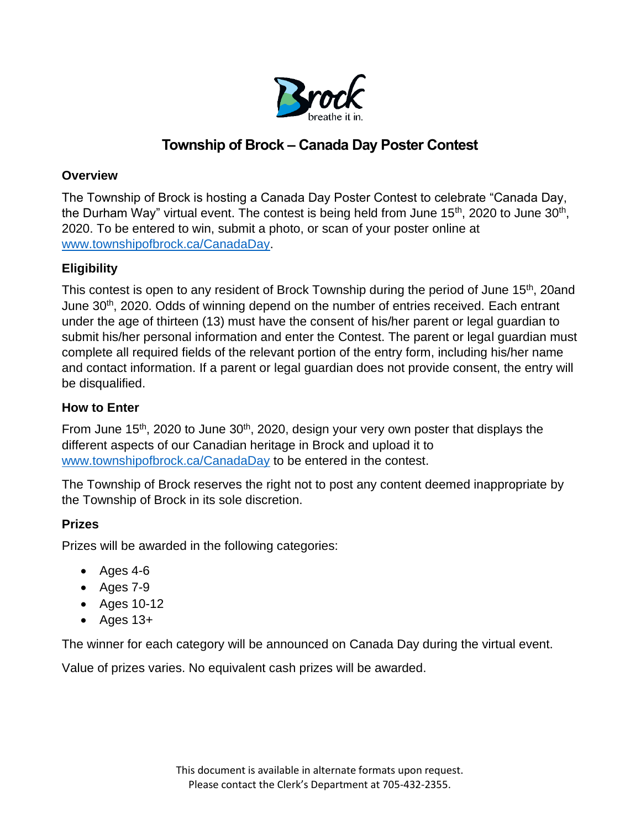

# **Township of Brock – Canada Day Poster Contest**

### **Overview**

The Township of Brock is hosting a Canada Day Poster Contest to celebrate "Canada Day, the Durham Way" virtual event. The contest is being held from June 15<sup>th</sup>, 2020 to June 30<sup>th</sup>, 2020. To be entered to win, submit a photo, or scan of your poster online at [www.townshipofbrock.ca/CanadaDay.](http://www.townshipofbrock.ca/CanadaDay)

# **Eligibility**

This contest is open to any resident of Brock Township during the period of June 15<sup>th</sup>, 20and June 30<sup>th</sup>, 2020. Odds of winning depend on the number of entries received. Each entrant under the age of thirteen (13) must have the consent of his/her parent or legal guardian to submit his/her personal information and enter the Contest. The parent or legal guardian must complete all required fields of the relevant portion of the entry form, including his/her name and contact information. If a parent or legal guardian does not provide consent, the entry will be disqualified.

### **How to Enter**

From June 15<sup>th</sup>, 2020 to June 30<sup>th</sup>, 2020, design your very own poster that displays the different aspects of our Canadian heritage in Brock and upload it to [www.townshipofbrock.ca/CanadaDay](http://www.townshipofbrock.ca/CanadaDay) to be entered in the contest.

The Township of Brock reserves the right not to post any content deemed inappropriate by the Township of Brock in its sole discretion.

# **Prizes**

Prizes will be awarded in the following categories:

- Ages  $4-6$
- Ages 7-9
- Ages 10-12
- Ages 13+

The winner for each category will be announced on Canada Day during the virtual event.

Value of prizes varies. No equivalent cash prizes will be awarded.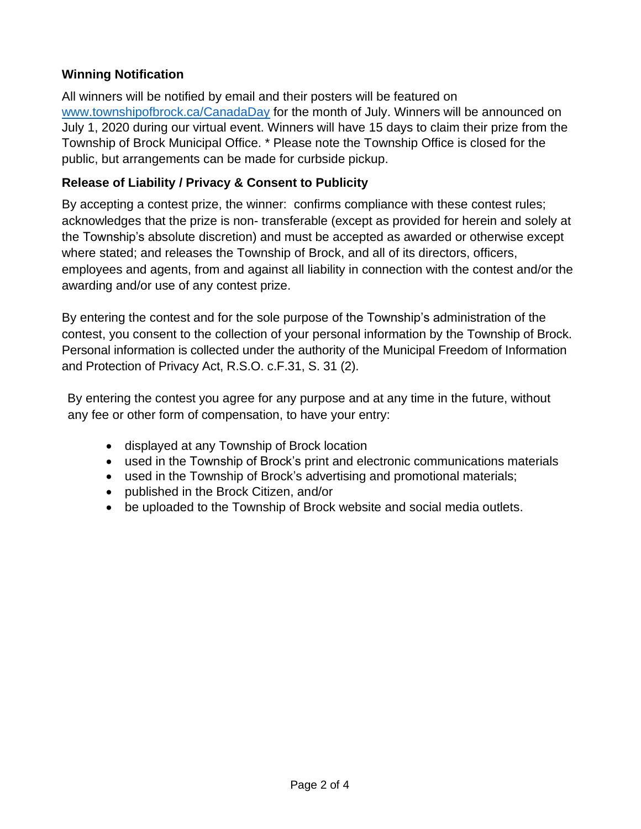### **Winning Notification**

All winners will be notified by email and their posters will be featured on [www.townshipofbrock.ca/CanadaDay](http://www.townshipofbrock.ca/CanadaDay) for the month of July. Winners will be announced on July 1, 2020 during our virtual event. Winners will have 15 days to claim their prize from the Township of Brock Municipal Office. \* Please note the Township Office is closed for the public, but arrangements can be made for curbside pickup.

#### **Release of Liability / Privacy & Consent to Publicity**

By accepting a contest prize, the winner: confirms compliance with these contest rules; acknowledges that the prize is non- transferable (except as provided for herein and solely at the Township's absolute discretion) and must be accepted as awarded or otherwise except where stated; and releases the Township of Brock, and all of its directors, officers, employees and agents, from and against all liability in connection with the contest and/or the awarding and/or use of any contest prize.

By entering the contest and for the sole purpose of the Township's administration of the contest, you consent to the collection of your personal information by the Township of Brock. Personal information is collected under the authority of the Municipal Freedom of Information and Protection of Privacy Act, R.S.O. c.F.31, S. 31 (2).

By entering the contest you agree for any purpose and at any time in the future, without any fee or other form of compensation, to have your entry:

- displayed at any Township of Brock location
- used in the Township of Brock's print and electronic communications materials
- used in the Township of Brock's advertising and promotional materials;
- published in the Brock Citizen, and/or
- be uploaded to the Township of Brock website and social media outlets.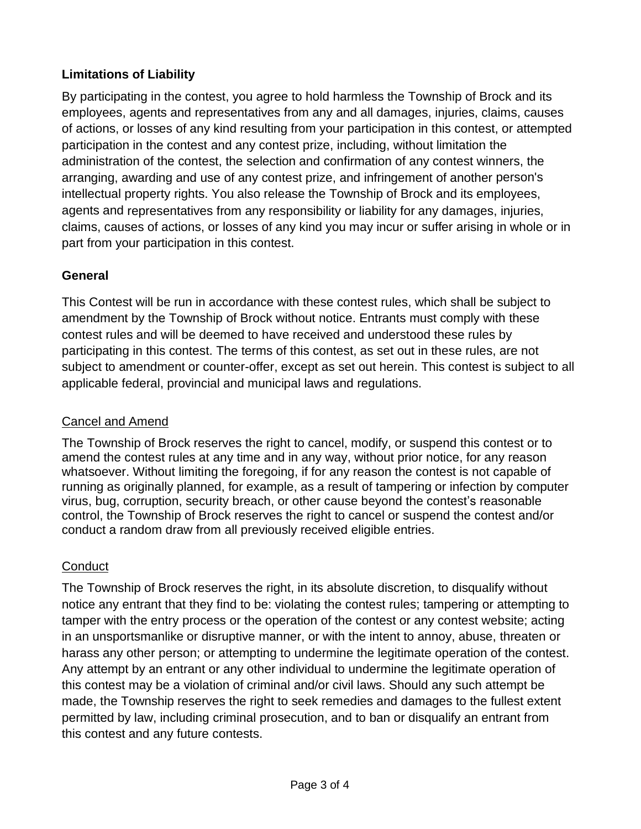# **Limitations of Liability**

By participating in the contest, you agree to hold harmless the Township of Brock and its employees, agents and representatives from any and all damages, injuries, claims, causes of actions, or losses of any kind resulting from your participation in this contest, or attempted participation in the contest and any contest prize, including, without limitation the administration of the contest, the selection and confirmation of any contest winners, the arranging, awarding and use of any contest prize, and infringement of another person's intellectual property rights. You also release the Township of Brock and its employees, agents and representatives from any responsibility or liability for any damages, injuries, claims, causes of actions, or losses of any kind you may incur or suffer arising in whole or in part from your participation in this contest.

# **General**

This Contest will be run in accordance with these contest rules, which shall be subject to amendment by the Township of Brock without notice. Entrants must comply with these contest rules and will be deemed to have received and understood these rules by participating in this contest. The terms of this contest, as set out in these rules, are not subject to amendment or counter-offer, except as set out herein. This contest is subject to all applicable federal, provincial and municipal laws and regulations.

### Cancel and Amend

The Township of Brock reserves the right to cancel, modify, or suspend this contest or to amend the contest rules at any time and in any way, without prior notice, for any reason whatsoever. Without limiting the foregoing, if for any reason the contest is not capable of running as originally planned, for example, as a result of tampering or infection by computer virus, bug, corruption, security breach, or other cause beyond the contest's reasonable control, the Township of Brock reserves the right to cancel or suspend the contest and/or conduct a random draw from all previously received eligible entries.

# **Conduct**

The Township of Brock reserves the right, in its absolute discretion, to disqualify without notice any entrant that they find to be: violating the contest rules; tampering or attempting to tamper with the entry process or the operation of the contest or any contest website; acting in an unsportsmanlike or disruptive manner, or with the intent to annoy, abuse, threaten or harass any other person; or attempting to undermine the legitimate operation of the contest. Any attempt by an entrant or any other individual to undermine the legitimate operation of this contest may be a violation of criminal and/or civil laws. Should any such attempt be made, the Township reserves the right to seek remedies and damages to the fullest extent permitted by law, including criminal prosecution, and to ban or disqualify an entrant from this contest and any future contests.